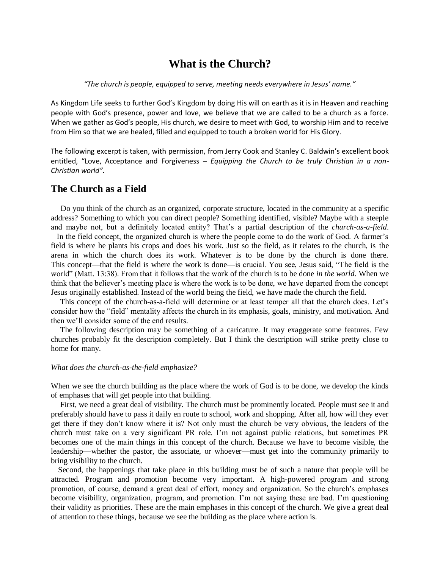# **What is the Church?**

## *"The church is people, equipped to serve, meeting needs everywhere in Jesus' name."*

As Kingdom Life seeks to further God's Kingdom by doing His will on earth as it is in Heaven and reaching people with God's presence, power and love, we believe that we are called to be a church as a force. When we gather as God's people, His church, we desire to meet with God, to worship Him and to receive from Him so that we are healed, filled and equipped to touch a broken world for His Glory.

The following excerpt is taken, with permission, from Jerry Cook and Stanley C. Baldwin's excellent book entitled, "Love, Acceptance and Forgiveness – *Equipping the Church to be truly Christian in a non-Christian world".*

# **The Church as a Field**

 Do you think of the church as an organized, corporate structure, located in the community at a specific address? Something to which you can direct people? Something identified, visible? Maybe with a steeple and maybe not, but a definitely located entity? That"s a partial description of the *church-as-a-field*.

In the field concept, the organized church is where the people come to do the work of God. A farmer's field is where he plants his crops and does his work. Just so the field, as it relates to the church, is the arena in which the church does its work. Whatever is to be done by the church is done there. This concept—that the field is where the work is done—is crucial. You see, Jesus said, "The field is the world" (Matt. 13:38). From that it follows that the work of the church is to be done *in the world.* When we think that the believer"s meeting place is where the work is to be done, we have departed from the concept Jesus originally established. Instead of the world being the field, we have made the church the field.

This concept of the church-as-a-field will determine or at least temper all that the church does. Let"s consider how the "field" mentality affects the church in its emphasis, goals, ministry, and motivation. And then we"ll consider some of the end results.

The following description may be something of a caricature. It may exaggerate some features. Few churches probably fit the description completely. But I think the description will strike pretty close to home for many.

# *What does the church-as-the-field emphasize?*

When we see the church building as the place where the work of God is to be done, we develop the kinds of emphases that will get people into that building.

First, we need a great deal of visibility. The church must be prominently located. People must see it and preferably should have to pass it daily en route to school, work and shopping. After all, how will they ever get there if they don"t know where it is? Not only must the church be very obvious, the leaders of the church must take on a very significant PR role. I"m not against public relations, but sometimes PR becomes one of the main things in this concept of the church. Because we have to become visible, the leadership—whether the pastor, the associate, or whoever—must get into the community primarily to bring visibility to the church.

Second, the happenings that take place in this building must be of such a nature that people will be attracted. Program and promotion become very important. A high-powered program and strong promotion, of course, demand a great deal of effort, money and organization. So the church"s emphases become visibility, organization, program, and promotion. I"m not saying these are bad. I"m questioning their validity as priorities. These are the main emphases in this concept of the church. We give a great deal of attention to these things, because we see the building as the place where action is.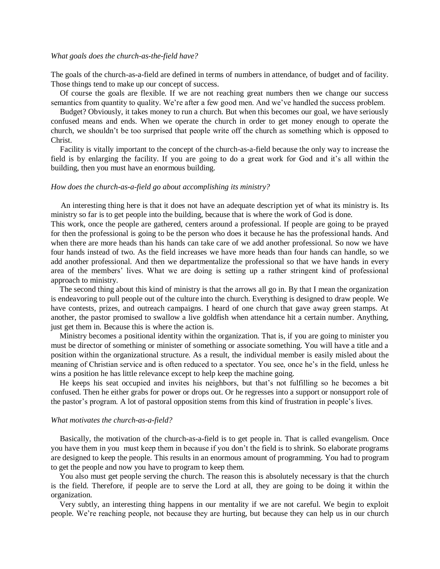#### *What goals does the church-as-the-field have?*

The goals of the church-as-a-field are defined in terms of numbers in attendance, of budget and of facility. Those things tend to make up our concept of success.

Of course the goals are flexible. If we are not reaching great numbers then we change our success semantics from quantity to quality. We're after a few good men. And we've handled the success problem.

Budget? Obviously, it takes money to run a church. But when this becomes our goal, we have seriously confused means and ends. When we operate the church in order to get money enough to operate the church, we shouldn"t be too surprised that people write off the church as something which is opposed to Christ.

Facility is vitally important to the concept of the church-as-a-field because the only way to increase the field is by enlarging the facility. If you are going to do a great work for God and it"s all within the building, then you must have an enormous building.

#### *How does the church-as-a-field go about accomplishing its ministry?*

 An interesting thing here is that it does not have an adequate description yet of what its ministry is. Its ministry so far is to get people into the building, because that is where the work of God is done.

This work, once the people are gathered, centers around a professional. If people are going to be prayed for then the professional is going to be the person who does it because he has the professional hands. And when there are more heads than his hands can take care of we add another professional. So now we have four hands instead of two. As the field increases we have more heads than four hands can handle, so we add another professional. And then we departmentalize the professional so that we have hands in every area of the members' lives. What we are doing is setting up a rather stringent kind of professional approach to ministry.

The second thing about this kind of ministry is that the arrows all go in. By that I mean the organization is endeavoring to pull people out of the culture into the church. Everything is designed to draw people. We have contests, prizes, and outreach campaigns. I heard of one church that gave away green stamps. At another, the pastor promised to swallow a live goldfish when attendance hit a certain number. Anything, just get them in. Because this is where the action is.

Ministry becomes a positional identity within the organization. That is, if you are going to minister you must be director of something or minister of something or associate something. You will have a title and a position within the organizational structure. As a result, the individual member is easily misled about the meaning of Christian service and is often reduced to a spectator. You see, once he"s in the field, unless he wins a position he has little relevance except to help keep the machine going.

He keeps his seat occupied and invites his neighbors, but that's not fulfilling so he becomes a bit confused. Then he either grabs for power or drops out. Or he regresses into a support or nonsupport role of the pastor's program. A lot of pastoral opposition stems from this kind of frustration in people's lives.

#### *What motivates the church-as-a-field?*

Basically, the motivation of the church-as-a-field is to get people in. That is called evangelism. Once you have them in you must keep them in because if you don"t the field is to shrink. So elaborate programs are designed to keep the people. This results in an enormous amount of programming. You had to program to get the people and now you have to program to keep them.

You also must get people serving the church. The reason this is absolutely necessary is that the church is the field. Therefore, if people are to serve the Lord at all, they are going to be doing it within the organization.

Very subtly, an interesting thing happens in our mentality if we are not careful. We begin to exploit people. We"re reaching people, not because they are hurting, but because they can help us in our church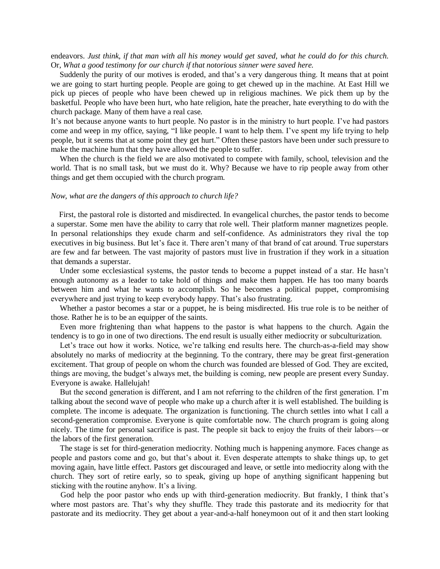endeavors. *Just think, if that man with all his money would get saved, what he could do for this church.*  Or, *What a good testimony for our church if that notorious sinner were saved here.*

Suddenly the purity of our motives is eroded, and that's a very dangerous thing. It means that at point we are going to start hurting people. People are going to get chewed up in the machine. At East Hill we pick up pieces of people who have been chewed up in religious machines. We pick them up by the basketful. People who have been hurt, who hate religion, hate the preacher, hate everything to do with the church package. Many of them have a real case.

It's not because anyone wants to hurt people. No pastor is in the ministry to hurt people. I've had pastors come and weep in my office, saying, "I like people. I want to help them. I've spent my life trying to help people, but it seems that at some point they get hurt." Often these pastors have been under such pressure to make the machine hum that they have allowed the people to suffer.

When the church is the field we are also motivated to compete with family, school, television and the world. That is no small task, but we must do it. Why? Because we have to rip people away from other things and get them occupied with the church program.

## *Now, what are the dangers of this approach to church life?*

First, the pastoral role is distorted and misdirected. In evangelical churches, the pastor tends to become a superstar. Some men have the ability to carry that role well. Their platform manner magnetizes people. In personal relationships they exude charm and self-confidence. As administrators they rival the top executives in big business. But let's face it. There aren't many of that brand of cat around. True superstars are few and far between. The vast majority of pastors must live in frustration if they work in a situation that demands a superstar.

Under some ecclesiastical systems, the pastor tends to become a puppet instead of a star. He hasn't enough autonomy as a leader to take hold of things and make them happen. He has too many boards between him and what he wants to accomplish. So he becomes a political puppet, compromising everywhere and just trying to keep everybody happy. That's also frustrating.

Whether a pastor becomes a star or a puppet, he is being misdirected. His true role is to be neither of those. Rather he is to be an equipper of the saints.

Even more frightening than what happens to the pastor is what happens to the church. Again the tendency is to go in one of two directions. The end result is usually either mediocrity or subculturization.

Let's trace out how it works. Notice, we're talking end results here. The church-as-a-field may show absolutely no marks of mediocrity at the beginning. To the contrary, there may be great first-generation excitement. That group of people on whom the church was founded are blessed of God. They are excited, things are moving, the budget's always met, the building is coming, new people are present every Sunday. Everyone is awake. Hallelujah!

But the second generation is different, and I am not referring to the children of the first generation. I"m talking about the second wave of people who make up a church after it is well established. The building is complete. The income is adequate. The organization is functioning. The church settles into what I call a second-generation compromise. Everyone is quite comfortable now. The church program is going along nicely. The time for personal sacrifice is past. The people sit back to enjoy the fruits of their labors—or the labors of the first generation.

The stage is set for third-generation mediocrity. Nothing much is happening anymore. Faces change as people and pastors come and go, but that"s about it. Even desperate attempts to shake things up, to get moving again, have little effect. Pastors get discouraged and leave, or settle into mediocrity along with the church. They sort of retire early, so to speak, giving up hope of anything significant happening but sticking with the routine anyhow. It's a living.

God help the poor pastor who ends up with third-generation mediocrity. But frankly, I think that's where most pastors are. That's why they shuffle. They trade this pastorate and its mediocrity for that pastorate and its mediocrity. They get about a year-and-a-half honeymoon out of it and then start looking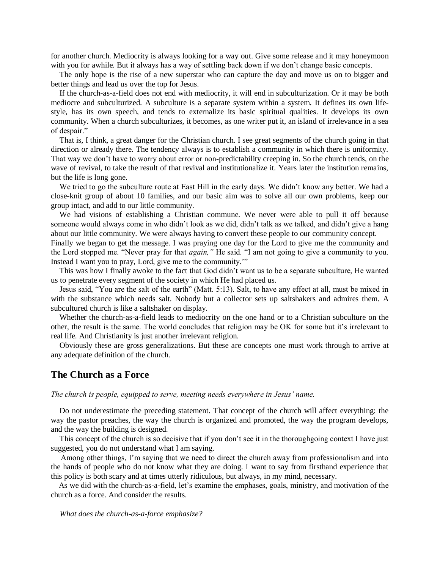for another church. Mediocrity is always looking for a way out. Give some release and it may honeymoon with you for awhile. But it always has a way of settling back down if we don't change basic concepts.

The only hope is the rise of a new superstar who can capture the day and move us on to bigger and better things and lead us over the top for Jesus.

If the church-as-a-field does not end with mediocrity, it will end in subculturization. Or it may be both mediocre and subculturized. A subculture is a separate system within a system. It defines its own lifestyle, has its own speech, and tends to externalize its basic spiritual qualities. It develops its own community. When a church subculturizes, it becomes, as one writer put it, an island of irrelevance in a sea of despair."

That is, I think, a great danger for the Christian church. I see great segments of the church going in that direction or already there. The tendency always is to establish a community in which there is uniformity. That way we don"t have to worry about error or non-predictability creeping in. So the church tends, on the wave of revival, to take the result of that revival and institutionalize it. Years later the institution remains, but the life is long gone.

We tried to go the subculture route at East Hill in the early days. We didn't know any better. We had a close-knit group of about 10 families, and our basic aim was to solve all our own problems, keep our group intact, and add to our little community.

We had visions of establishing a Christian commune. We never were able to pull it off because someone would always come in who didn"t look as we did, didn"t talk as we talked, and didn"t give a hang about our little community. We were always having to convert these people to our community concept.

Finally we began to get the message. I was praying one day for the Lord to give me the community and the Lord stopped me. "Never pray for that *again,"* He said. "I am not going to give a community to you. Instead I want you to pray, Lord, give me to the community.""

This was how I finally awoke to the fact that God didn"t want us to be a separate subculture, He wanted us to penetrate every segment of the society in which He had placed us.

Jesus said, "You are the salt of the earth" (Matt. 5:13). Salt, to have any effect at all, must be mixed in with the substance which needs salt. Nobody but a collector sets up saltshakers and admires them. A subcultured church is like a saltshaker on display.

Whether the church-as-a-field leads to mediocrity on the one hand or to a Christian subculture on the other, the result is the same. The world concludes that religion may be OK for some but it"s irrelevant to real life. And Christianity is just another irrelevant religion.

Obviously these are gross generalizations. But these are concepts one must work through to arrive at any adequate definition of the church.

# **The Church as a Force**

*The church is people, equipped to serve, meeting needs everywhere in Jesus' name.*

Do not underestimate the preceding statement. That concept of the church will affect everything: the way the pastor preaches, the way the church is organized and promoted, the way the program develops, and the way the building is designed.

This concept of the church is so decisive that if you don"t see it in the thoroughgoing context I have just suggested, you do not understand what I am saying.

Among other things, I'm saying that we need to direct the church away from professionalism and into the hands of people who do not know what they are doing. I want to say from firsthand experience that this policy is both scary and at times utterly ridiculous, but always, in my mind, necessary.

As we did with the church-as-a-field, let"s examine the emphases, goals, ministry, and motivation of the church as a force. And consider the results.

*What does the church-as-a-force emphasize?*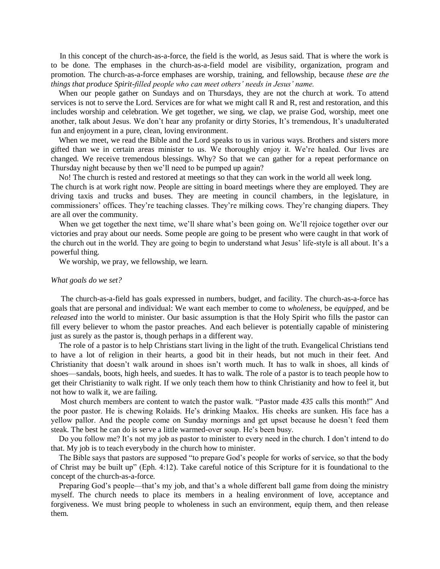In this concept of the church-as-a-force, the field is the world, as Jesus said. That is where the work is to be done. The emphases in the church-as-a-field model are visibility, organization, program and promotion. The church-as-a-force emphases are worship, training, and fellowship, because *these are the things that produce Spirit-filled people who can meet others' needs in Jesus' name.*

When our people gather on Sundays and on Thursdays, they are not the church at work. To attend services is not to serve the Lord. Services are for what we might call R and R, rest and restoration, and this includes worship and celebration. We get together, we sing, we clap, we praise God, worship, meet one another, talk about Jesus. We don't hear any profanity or dirty Stories, It's tremendous, It's unadulterated fun and enjoyment in a pure, clean, loving environment.

When we meet, we read the Bible and the Lord speaks to us in various ways. Brothers and sisters more gifted than we in certain areas minister to us. We thoroughly enjoy it. We"re healed. Our lives are changed. We receive tremendous blessings. Why? So that we can gather for a repeat performance on Thursday night because by then we"ll need to be pumped up again?

No! The church is rested and restored at meetings so that they can work in the world all week long.

The church is at work right now. People are sitting in board meetings where they are employed. They are driving taxis and trucks and buses. They are meeting in council chambers, in the legislature, in commissioners" offices. They"re teaching classes. They"re milking cows. They"re changing diapers. They are all over the community.

When we get together the next time, we'll share what's been going on. We'll rejoice together over our victories and pray about our needs. Some people are going to be present who were caught in that work of the church out in the world. They are going to begin to understand what Jesus' life-style is all about. It's a powerful thing.

We worship, we pray, we fellowship, we learn.

## *What goals do we set?*

The church-as-a-field has goals expressed in numbers, budget, and facility. The church-as-a-force has goals that are personal and individual: We want each member to come to *wholeness,* be *equipped,* and be *released* into the world to minister. Our basic assumption is that the Holy Spirit who fills the pastor can fill every believer to whom the pastor preaches. And each believer is potentially capable of ministering just as surely as the pastor is, though perhaps in a different way.

The role of a pastor is to help Christians start living in the light of the truth. Evangelical Christians tend to have a lot of religion in their hearts, a good bit in their heads, but not much in their feet. And Christianity that doesn"t walk around in shoes isn"t worth much. It has to walk in shoes, all kinds of shoes—sandals, boots, high heels, and suedes. It has to walk. The role of a pastor is to teach people how to get their Christianity to walk right. If we only teach them how to think Christianity and how to feel it, but not how to walk it, we are failing.

 Most church members are content to watch the pastor walk. "Pastor made *435* calls this month!" And the poor pastor. He is chewing Rolaids. He"s drinking Maalox. His cheeks are sunken. His face has a yellow pallor. And the people come on Sunday mornings and get upset because he doesn"t feed them steak. The best he can do is serve a little warmed-over soup. He"s been busy.

Do you follow me? It's not my job as pastor to minister to every need in the church. I don't intend to do that. My job is to teach everybody in the church how to minister.

The Bible says that pastors are supposed "to prepare God"s people for works of service, so that the body of Christ may be built up" (Eph. 4:12). Take careful notice of this Scripture for it is foundational to the concept of the church-as-a-force.

Preparing God's people—that's my job, and that's a whole different ball game from doing the ministry myself. The church needs to place its members in a healing environment of love, acceptance and forgiveness. We must bring people to wholeness in such an environment, equip them, and then release them.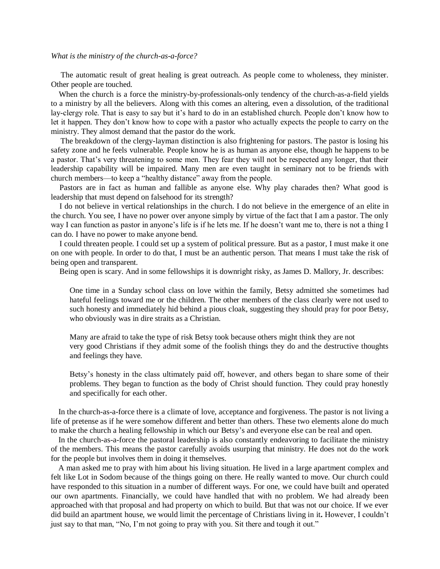## *What is the ministry of the church-as-a-force?*

 The automatic result of great healing is great outreach. As people come to wholeness, they minister. Other people are touched.

When the church is a force the ministry-by-professionals-only tendency of the church-as-a-field yields to a ministry by all the believers. Along with this comes an altering, even a dissolution, of the traditional lay-clergy role. That is easy to say but it's hard to do in an established church. People don't know how to let it happen. They don"t know how to cope with a pastor who actually expects the people to carry on the ministry. They almost demand that the pastor do the work.

 The breakdown of the clergy-layman distinction is also frightening for pastors. The pastor is losing his safety zone and he feels vulnerable. People know he is as human as anyone else, though he happens to be a pastor. That"s very threatening to some men. They fear they will not be respected any longer, that their leadership capability will be impaired. Many men are even taught in seminary not to be friends with church members—to keep a "healthy distance" away from the people.

Pastors are in fact as human and fallible as anyone else. Why play charades then? What good is leadership that must depend on falsehood for its strength?

I do not believe in vertical relationships in the church. I do not believe in the emergence of an elite in the church. You see, I have no power over anyone simply by virtue of the fact that I am a pastor. The only way I can function as pastor in anyone's life is if he lets me. If he doesn't want me to, there is not a thing I can do. I have no power to make anyone bend.

I could threaten people. I could set up a system of political pressure. But as a pastor, I must make it one on one with people. In order to do that, I must be an authentic person. That means I must take the risk of being open and transparent.

Being open is scary. And in some fellowships it is downright risky, as James D. Mallory, Jr. describes:

One time in a Sunday school class on love within the family, Betsy admitted she sometimes had hateful feelings toward me or the children. The other members of the class clearly were not used to such honesty and immediately hid behind a pious cloak, suggesting they should pray for poor Betsy, who obviously was in dire straits as a Christian.

Many are afraid to take the type of risk Betsy took because others might think they are not very good Christians if they admit some of the foolish things they do and the destructive thoughts and feelings they have.

Betsy"s honesty in the class ultimately paid off, however, and others began to share some of their problems. They began to function as the body of Christ should function. They could pray honestly and specifically for each other.

In the church-as-a-force there is a climate of love, acceptance and forgiveness. The pastor is not living a life of pretense as if he were somehow different and better than others. These two elements alone do much to make the church a healing fellowship in which our Betsy"s and everyone else can be real and open.

In the church-as-a-force the pastoral leadership is also constantly endeavoring to facilitate the ministry of the members. This means the pastor carefully avoids usurping that ministry. He does not do the work for the people but involves them in doing it themselves.

A man asked me to pray with him about his living situation. He lived in a large apartment complex and felt like Lot in Sodom because of the things going on there. He really wanted to move. Our church could have responded to this situation in a number of different ways. For one, we could have built and operated our own apartments. Financially, we could have handled that with no problem. We had already been approached with that proposal and had property on which to build. But that was not our choice. If we ever did build an apartment house, we would limit the percentage of Christians living in it**.** However, I couldn"t just say to that man, "No, I'm not going to pray with you. Sit there and tough it out."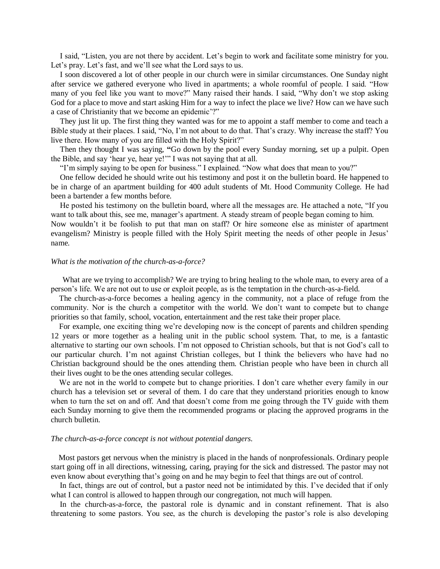I said, "Listen, you are not there by accident. Let"s begin to work and facilitate some ministry for you. Let's pray. Let's fast, and we'll see what the Lord says to us.

I soon discovered a lot of other people in our church were in similar circumstances. One Sunday night after service we gathered everyone who lived in apartments; a whole roomful of people. I said. "How many of you feel like you want to move?" Many raised their hands. I said, "Why don"t we stop asking God for a place to move and start asking Him for a way to infect the place we live? How can we have such a case of Christianity that we become an epidemic'?"

They just lit up. The first thing they wanted was for me to appoint a staff member to come and teach a Bible study at their places. I said, "No, I"m not about to do that. That"s crazy. Why increase the staff? You live there. How many of you are filled with the Holy Spirit?"

Then they thought I was saying, **"**Go down by the pool every Sunday morning, set up a pulpit. Open the Bible, and say "hear ye, hear ye!"" I was not saying that at all.

"I"m simply saying to be open for business." I explained. "Now what does that mean to you?"

One fellow decided he should write out his testimony and post it on the bulletin board. He happened to be in charge of an apartment building for 400 adult students of Mt. Hood Community College. He had been a bartender a few months before.

He posted his testimony on the bulletin board, where all the messages are. He attached a note, "If you want to talk about this, see me, manager's apartment. A steady stream of people began coming to him. Now wouldn"t it be foolish to put that man on staff? Or hire someone else as minister of apartment evangelism? Ministry is people filled with the Holy Spirit meeting the needs of other people in Jesus'

#### *What is the motivation of the church-as-a-force?*

name.

What are we trying to accomplish? We are trying to bring healing to the whole man, to every area of a person"s life. We are not out to use or exploit people, as is the temptation in the church-as-a-field.

The church-as-a-force becomes a healing agency in the community, not a place of refuge from the community. Nor is the church a competitor with the world. We don"t want to compete but to change priorities so that family, school, vocation, entertainment and the rest take their proper place.

For example, one exciting thing we're developing now is the concept of parents and children spending 12 years or more together as a healing unit in the public school system. That, to me, is a fantastic alternative to starting our own schools. I"m not opposed to Christian schools, but that is not God"s call to our particular church. I"m not against Christian colleges, but I think the believers who have had no Christian background should be the ones attending them. Christian people who have been in church all their lives ought to be the ones attending secular colleges.

We are not in the world to compete but to change priorities. I don't care whether every family in our church has a television set or several of them. I do care that they understand priorities enough to know when to turn the set on and off. And that doesn't come from me going through the TV guide with them each Sunday morning to give them the recommended programs or placing the approved programs in the church bulletin.

#### *The church-as-a-force concept is not without potential dangers.*

Most pastors get nervous when the ministry is placed in the hands of nonprofessionals. Ordinary people start going off in all directions, witnessing, caring, praying for the sick and distressed. The pastor may not even know about everything that"s going on and he may begin to feel that things are out of control.

In fact, things are out of control, but a pastor need not be intimidated by this. I've decided that if only what I can control is allowed to happen through our congregation, not much will happen.

In the church-as-a-force, the pastoral role is dynamic and in constant refinement. That is also threatening to some pastors. You see, as the church is developing the pastor"s role is also developing